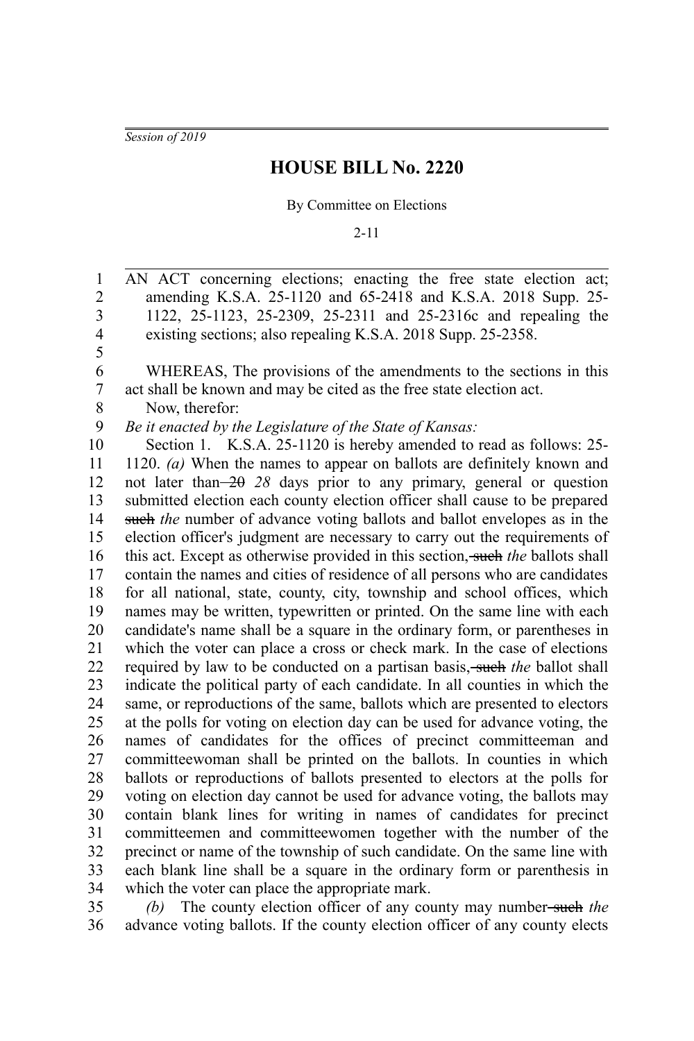*Session of 2019*

## **HOUSE BILL No. 2220**

By Committee on Elections

2-11

AN ACT concerning elections; enacting the free state election act; amending K.S.A. 25-1120 and 65-2418 and K.S.A. 2018 Supp. 25- 1122, 25-1123, 25-2309, 25-2311 and 25-2316c and repealing the existing sections; also repealing K.S.A. 2018 Supp. 25-2358. WHEREAS, The provisions of the amendments to the sections in this act shall be known and may be cited as the free state election act. Now, therefor: *Be it enacted by the Legislature of the State of Kansas:* Section 1. K.S.A. 25-1120 is hereby amended to read as follows: 25-1120. *(a)* When the names to appear on ballots are definitely known and not later than  $-2\theta$  28 days prior to any primary, general or question submitted election each county election officer shall cause to be prepared such *the* number of advance voting ballots and ballot envelopes as in the election officer's judgment are necessary to carry out the requirements of this act. Except as otherwise provided in this section, such *the* ballots shall contain the names and cities of residence of all persons who are candidates for all national, state, county, city, township and school offices, which names may be written, typewritten or printed. On the same line with each candidate's name shall be a square in the ordinary form, or parentheses in which the voter can place a cross or check mark. In the case of elections required by law to be conducted on a partisan basis, such the ballot shall indicate the political party of each candidate. In all counties in which the same, or reproductions of the same, ballots which are presented to electors at the polls for voting on election day can be used for advance voting, the names of candidates for the offices of precinct committeeman and committeewoman shall be printed on the ballots. In counties in which ballots or reproductions of ballots presented to electors at the polls for voting on election day cannot be used for advance voting, the ballots may contain blank lines for writing in names of candidates for precinct committeemen and committeewomen together with the number of the precinct or name of the township of such candidate. On the same line with each blank line shall be a square in the ordinary form or parenthesis in which the voter can place the appropriate mark. 1 2 3 4 5 6 7 8 9 10 11 12 13 14 15 16 17 18 19 20 21 22 23 24 25 26 27 28 29 30 31 32 33 34

*(b)* The county election officer of any county may number-such the advance voting ballots. If the county election officer of any county elects 35 36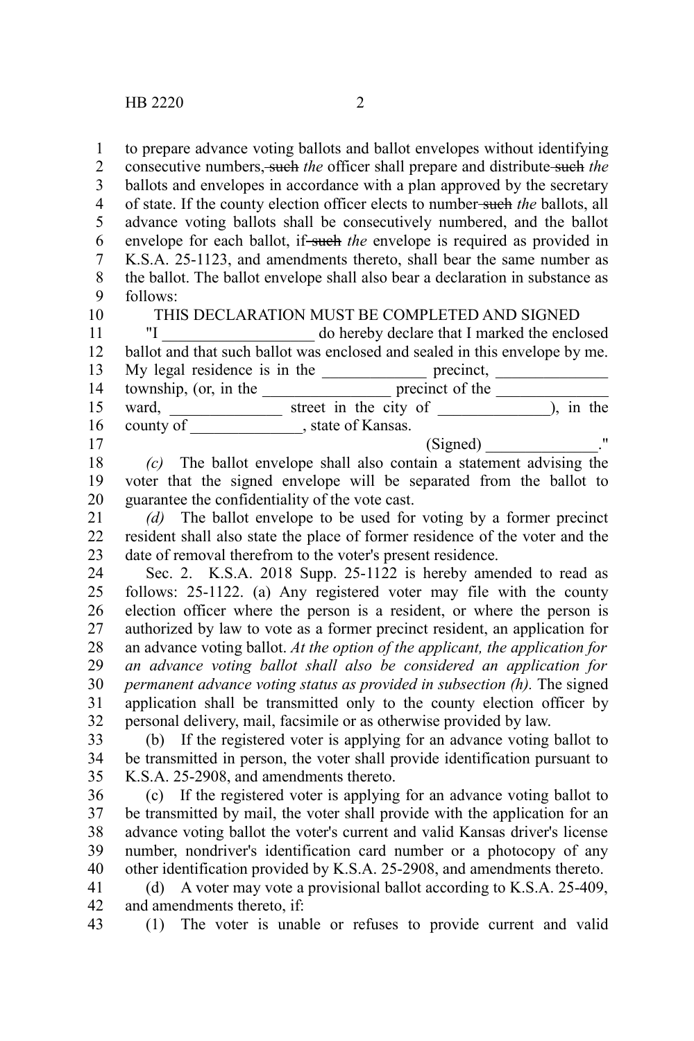10

to prepare advance voting ballots and ballot envelopes without identifying 1

consecutive numbers, such *the* officer shall prepare and distribute such *the* 2

ballots and envelopes in accordance with a plan approved by the secretary of state. If the county election officer elects to number such *the* ballots, all advance voting ballots shall be consecutively numbered, and the ballot envelope for each ballot, if such the envelope is required as provided in K.S.A. 25-1123, and amendments thereto, shall bear the same number as the ballot. The ballot envelope shall also bear a declaration in substance as follows: 3 4 5 6 7 8 9

THIS DECLARATION MUST BE COMPLETED AND SIGNED

"I \_\_\_\_\_\_\_\_\_\_\_\_\_\_\_\_\_\_\_ do hereby declare that I marked the enclosed ballot and that such ballot was enclosed and sealed in this envelope by me. My legal residence is in the precinct, precinct, 11 12 13

township, (or, in the \_\_\_\_\_\_\_\_\_\_\_\_\_\_\_\_\_\_\_\_\_\_ precinct of the \_\_\_\_\_\_\_\_\_\_\_\_\_\_\_\_\_\_\_ ward, the street in the city of the street in the city of the street in the city of the street in the city of the street in the city of the street in the city of the street in the city of the street in the city of the stre county of \_\_\_\_\_\_\_\_\_\_\_\_\_\_\_, state of Kansas.  $(Signed)$   $\qquad \qquad \qquad$ ." 14 15 16 17

*(c)* The ballot envelope shall also contain a statement advising the voter that the signed envelope will be separated from the ballot to guarantee the confidentiality of the vote cast. 18 19 20

*(d)* The ballot envelope to be used for voting by a former precinct resident shall also state the place of former residence of the voter and the date of removal therefrom to the voter's present residence. 21 22 23

Sec. 2. K.S.A. 2018 Supp. 25-1122 is hereby amended to read as follows: 25-1122. (a) Any registered voter may file with the county election officer where the person is a resident, or where the person is authorized by law to vote as a former precinct resident, an application for an advance voting ballot. *At the option of the applicant, the application for an advance voting ballot shall also be considered an application for permanent advance voting status as provided in subsection (h).* The signed application shall be transmitted only to the county election officer by personal delivery, mail, facsimile or as otherwise provided by law. 24 25 26 27 28 29 30 31 32

(b) If the registered voter is applying for an advance voting ballot to be transmitted in person, the voter shall provide identification pursuant to K.S.A. 25-2908, and amendments thereto. 33 34 35

(c) If the registered voter is applying for an advance voting ballot to be transmitted by mail, the voter shall provide with the application for an advance voting ballot the voter's current and valid Kansas driver's license number, nondriver's identification card number or a photocopy of any other identification provided by K.S.A. 25-2908, and amendments thereto. 36 37 38 39 40

(d) A voter may vote a provisional ballot according to K.S.A. 25-409, and amendments thereto, if: 41 42

(1) The voter is unable or refuses to provide current and valid 43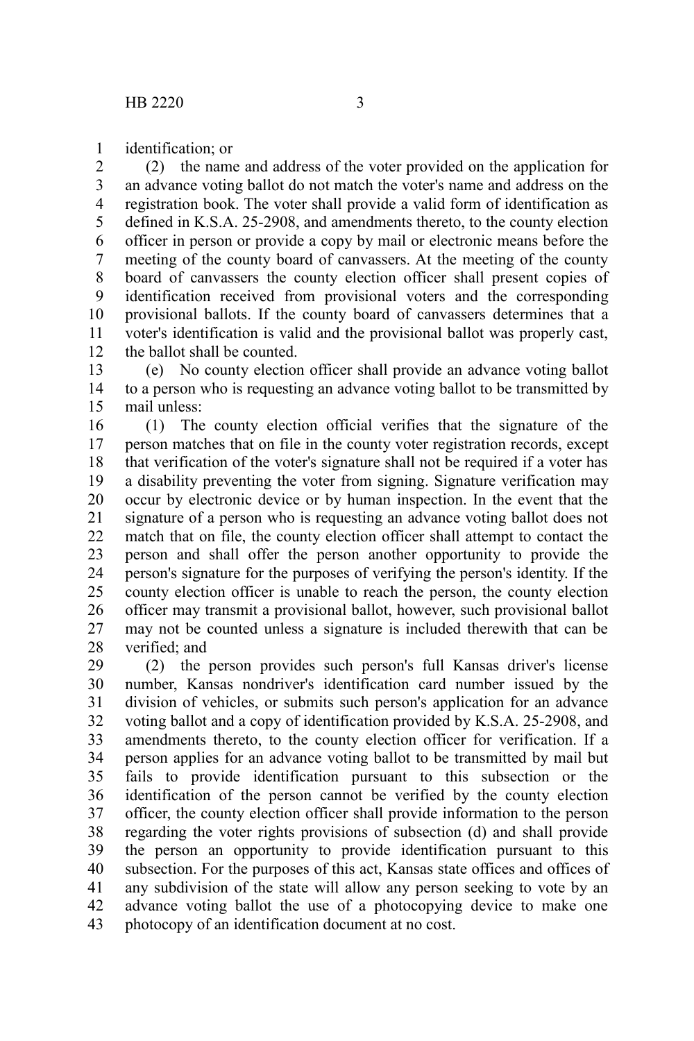identification; or 1

(2) the name and address of the voter provided on the application for an advance voting ballot do not match the voter's name and address on the registration book. The voter shall provide a valid form of identification as defined in K.S.A. 25-2908, and amendments thereto, to the county election officer in person or provide a copy by mail or electronic means before the meeting of the county board of canvassers. At the meeting of the county board of canvassers the county election officer shall present copies of identification received from provisional voters and the corresponding provisional ballots. If the county board of canvassers determines that a voter's identification is valid and the provisional ballot was properly cast, the ballot shall be counted. 2 3 4 5 6 7 8 9 10 11 12

(e) No county election officer shall provide an advance voting ballot to a person who is requesting an advance voting ballot to be transmitted by mail unless: 13 14 15

(1) The county election official verifies that the signature of the person matches that on file in the county voter registration records, except that verification of the voter's signature shall not be required if a voter has a disability preventing the voter from signing. Signature verification may occur by electronic device or by human inspection. In the event that the signature of a person who is requesting an advance voting ballot does not match that on file, the county election officer shall attempt to contact the person and shall offer the person another opportunity to provide the person's signature for the purposes of verifying the person's identity. If the county election officer is unable to reach the person, the county election officer may transmit a provisional ballot, however, such provisional ballot may not be counted unless a signature is included therewith that can be verified; and 16 17 18 19 20 21 22 23 24 25 26 27 28

(2) the person provides such person's full Kansas driver's license number, Kansas nondriver's identification card number issued by the division of vehicles, or submits such person's application for an advance voting ballot and a copy of identification provided by K.S.A. 25-2908, and amendments thereto, to the county election officer for verification. If a person applies for an advance voting ballot to be transmitted by mail but fails to provide identification pursuant to this subsection or the identification of the person cannot be verified by the county election officer, the county election officer shall provide information to the person regarding the voter rights provisions of subsection (d) and shall provide the person an opportunity to provide identification pursuant to this subsection. For the purposes of this act, Kansas state offices and offices of any subdivision of the state will allow any person seeking to vote by an advance voting ballot the use of a photocopying device to make one photocopy of an identification document at no cost. 29 30 31 32 33 34 35 36 37 38 39 40 41 42 43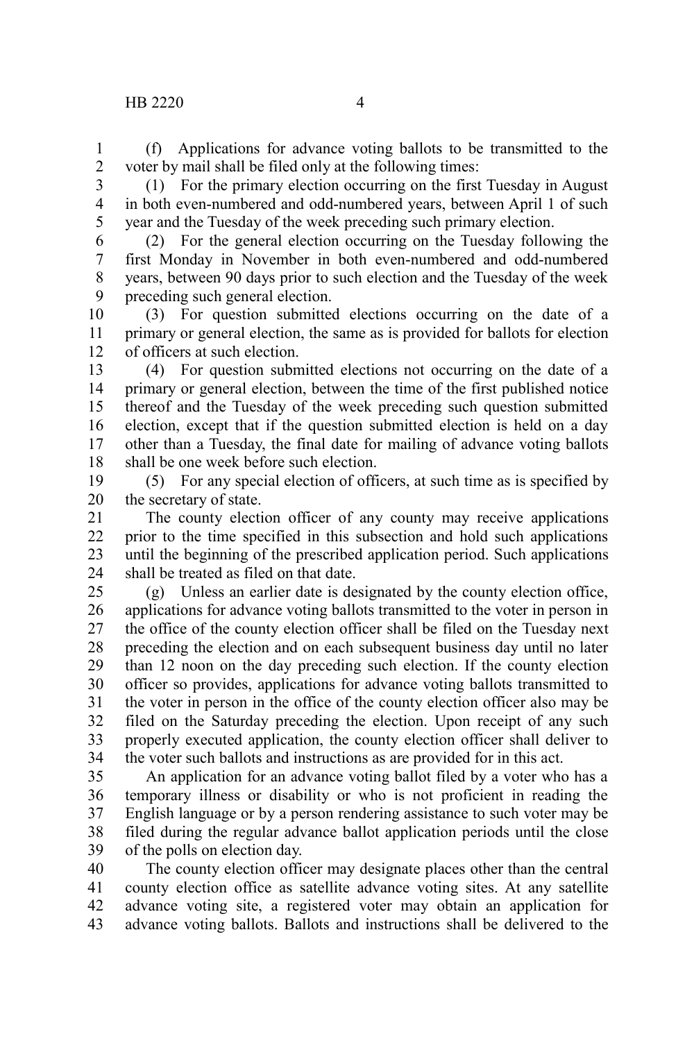(f) Applications for advance voting ballots to be transmitted to the voter by mail shall be filed only at the following times: 1 2

3

(1) For the primary election occurring on the first Tuesday in August in both even-numbered and odd-numbered years, between April 1 of such year and the Tuesday of the week preceding such primary election. 4 5

(2) For the general election occurring on the Tuesday following the first Monday in November in both even-numbered and odd-numbered years, between 90 days prior to such election and the Tuesday of the week preceding such general election. 6 7 8 9

(3) For question submitted elections occurring on the date of a primary or general election, the same as is provided for ballots for election of officers at such election. 10 11 12

(4) For question submitted elections not occurring on the date of a primary or general election, between the time of the first published notice thereof and the Tuesday of the week preceding such question submitted election, except that if the question submitted election is held on a day other than a Tuesday, the final date for mailing of advance voting ballots shall be one week before such election. 13 14 15 16 17 18

(5) For any special election of officers, at such time as is specified by the secretary of state. 19 20

The county election officer of any county may receive applications prior to the time specified in this subsection and hold such applications until the beginning of the prescribed application period. Such applications shall be treated as filed on that date. 21 22 23 24

(g) Unless an earlier date is designated by the county election office, applications for advance voting ballots transmitted to the voter in person in the office of the county election officer shall be filed on the Tuesday next preceding the election and on each subsequent business day until no later than 12 noon on the day preceding such election. If the county election officer so provides, applications for advance voting ballots transmitted to the voter in person in the office of the county election officer also may be filed on the Saturday preceding the election. Upon receipt of any such properly executed application, the county election officer shall deliver to the voter such ballots and instructions as are provided for in this act. 25 26 27 28 29 30 31 32 33 34

An application for an advance voting ballot filed by a voter who has a temporary illness or disability or who is not proficient in reading the English language or by a person rendering assistance to such voter may be filed during the regular advance ballot application periods until the close of the polls on election day. 35 36 37 38 39

The county election officer may designate places other than the central county election office as satellite advance voting sites. At any satellite advance voting site, a registered voter may obtain an application for advance voting ballots. Ballots and instructions shall be delivered to the 40 41 42 43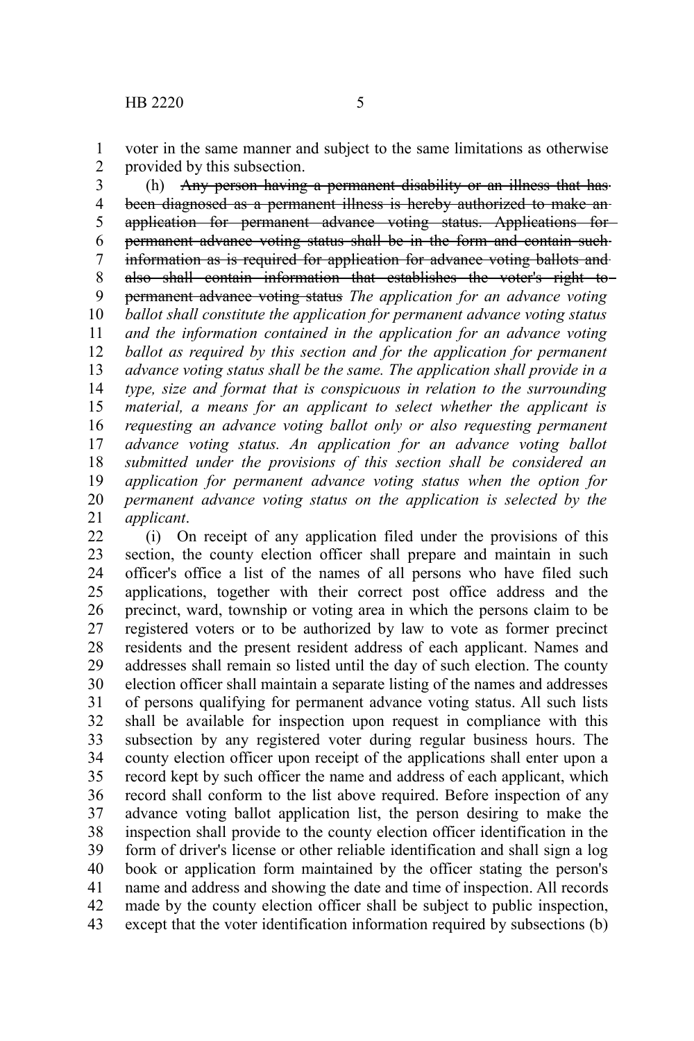voter in the same manner and subject to the same limitations as otherwise provided by this subsection. 1 2

(h) Any person having a permanent disability or an illness that has been diagnosed as a permanent illness is hereby authorized to make anapplication for permanent advance voting status. Applications for permanent advance voting status shall be in the form and contain such information as is required for application for advance voting ballots and also shall contain information that establishes the voter's right to permanent advance voting status *The application for an advance voting ballot shall constitute the application for permanent advance voting status and the information contained in the application for an advance voting ballot as required by this section and for the application for permanent advance voting status shall be the same. The application shall provide in a type, size and format that is conspicuous in relation to the surrounding material, a means for an applicant to select whether the applicant is requesting an advance voting ballot only or also requesting permanent advance voting status. An application for an advance voting ballot submitted under the provisions of this section shall be considered an application for permanent advance voting status when the option for permanent advance voting status on the application is selected by the applicant*. 3 4 5 6 7 8 9 10 11 12 13 14 15 16 17 18 19 20 21

(i) On receipt of any application filed under the provisions of this section, the county election officer shall prepare and maintain in such officer's office a list of the names of all persons who have filed such applications, together with their correct post office address and the precinct, ward, township or voting area in which the persons claim to be registered voters or to be authorized by law to vote as former precinct residents and the present resident address of each applicant. Names and addresses shall remain so listed until the day of such election. The county election officer shall maintain a separate listing of the names and addresses of persons qualifying for permanent advance voting status. All such lists shall be available for inspection upon request in compliance with this subsection by any registered voter during regular business hours. The county election officer upon receipt of the applications shall enter upon a record kept by such officer the name and address of each applicant, which record shall conform to the list above required. Before inspection of any advance voting ballot application list, the person desiring to make the inspection shall provide to the county election officer identification in the form of driver's license or other reliable identification and shall sign a log book or application form maintained by the officer stating the person's name and address and showing the date and time of inspection. All records made by the county election officer shall be subject to public inspection, except that the voter identification information required by subsections (b) 22 23 24 25 26 27 28 29 30 31 32 33 34 35 36 37 38 39 40 41 42 43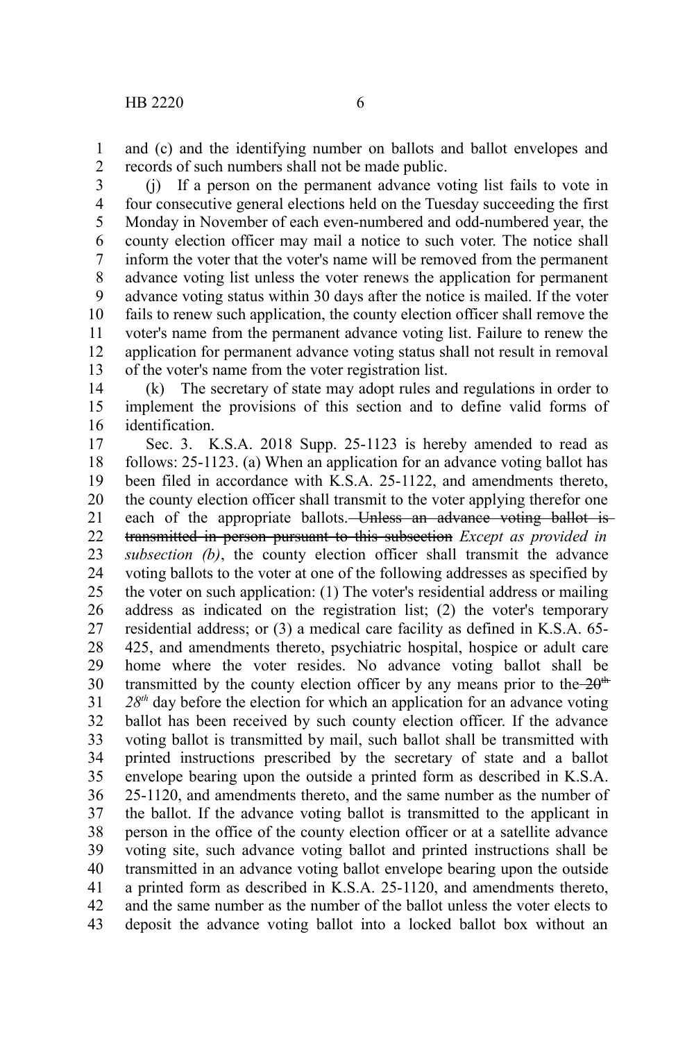and (c) and the identifying number on ballots and ballot envelopes and records of such numbers shall not be made public. 1 2

(j) If a person on the permanent advance voting list fails to vote in four consecutive general elections held on the Tuesday succeeding the first Monday in November of each even-numbered and odd-numbered year, the county election officer may mail a notice to such voter. The notice shall inform the voter that the voter's name will be removed from the permanent advance voting list unless the voter renews the application for permanent advance voting status within 30 days after the notice is mailed. If the voter fails to renew such application, the county election officer shall remove the voter's name from the permanent advance voting list. Failure to renew the application for permanent advance voting status shall not result in removal of the voter's name from the voter registration list. 3 4 5 6 7 8 9 10 11 12 13

(k) The secretary of state may adopt rules and regulations in order to implement the provisions of this section and to define valid forms of identification. 14 15 16

Sec. 3. K.S.A. 2018 Supp. 25-1123 is hereby amended to read as follows: 25-1123. (a) When an application for an advance voting ballot has been filed in accordance with K.S.A. 25-1122, and amendments thereto, the county election officer shall transmit to the voter applying therefor one each of the appropriate ballots. Unless an advance voting ballot is transmitted in person pursuant to this subsection *Except as provided in subsection (b)*, the county election officer shall transmit the advance voting ballots to the voter at one of the following addresses as specified by the voter on such application: (1) The voter's residential address or mailing address as indicated on the registration list; (2) the voter's temporary residential address; or (3) a medical care facility as defined in K.S.A. 65- 425, and amendments thereto, psychiatric hospital, hospice or adult care home where the voter resides. No advance voting ballot shall be transmitted by the county election officer by any means prior to the  $-20$ <sup>th</sup> *28th* day before the election for which an application for an advance voting ballot has been received by such county election officer. If the advance voting ballot is transmitted by mail, such ballot shall be transmitted with printed instructions prescribed by the secretary of state and a ballot envelope bearing upon the outside a printed form as described in K.S.A. 25-1120, and amendments thereto, and the same number as the number of the ballot. If the advance voting ballot is transmitted to the applicant in person in the office of the county election officer or at a satellite advance voting site, such advance voting ballot and printed instructions shall be transmitted in an advance voting ballot envelope bearing upon the outside a printed form as described in K.S.A. 25-1120, and amendments thereto, and the same number as the number of the ballot unless the voter elects to deposit the advance voting ballot into a locked ballot box without an 17 18 19 20 21 22 23 24 25 26 27 28 29 30 31 32 33 34 35 36 37 38 39 40 41 42 43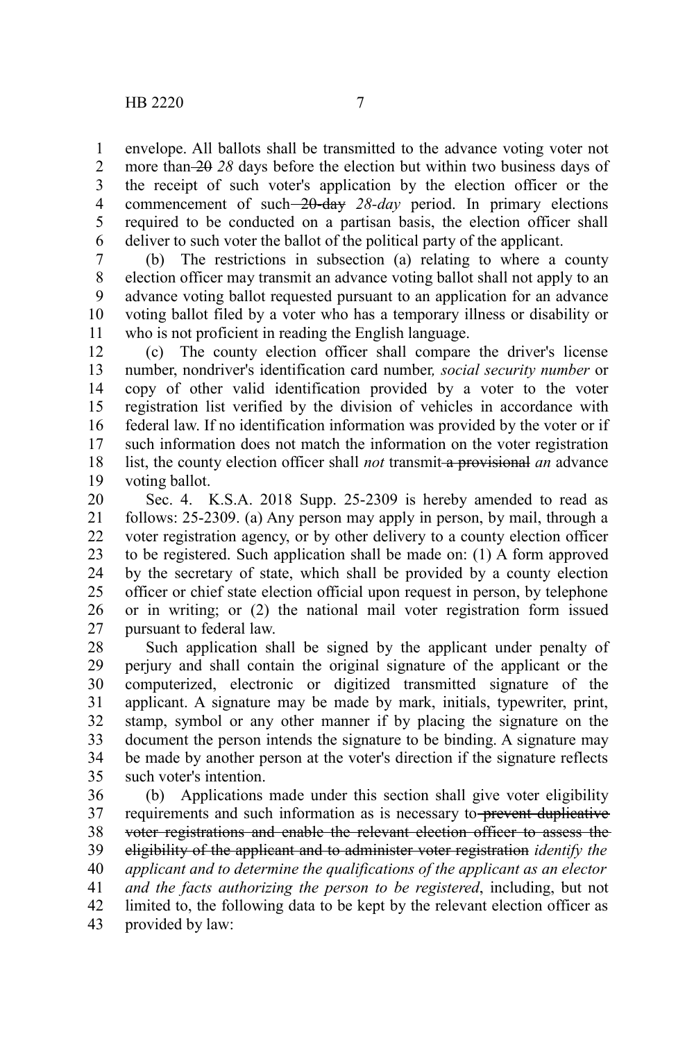envelope. All ballots shall be transmitted to the advance voting voter not more than 20 *28* days before the election but within two business days of the receipt of such voter's application by the election officer or the commencement of such 20-day *28-day* period. In primary elections required to be conducted on a partisan basis, the election officer shall deliver to such voter the ballot of the political party of the applicant. 1 2 3 4 5 6

(b) The restrictions in subsection (a) relating to where a county election officer may transmit an advance voting ballot shall not apply to an advance voting ballot requested pursuant to an application for an advance voting ballot filed by a voter who has a temporary illness or disability or who is not proficient in reading the English language. 7 8 9 10 11

(c) The county election officer shall compare the driver's license number, nondriver's identification card number*, social security number* or copy of other valid identification provided by a voter to the voter registration list verified by the division of vehicles in accordance with federal law. If no identification information was provided by the voter or if such information does not match the information on the voter registration list, the county election officer shall *not* transmit a provisional *an* advance voting ballot. 12 13 14 15 16 17 18 19

Sec. 4. K.S.A. 2018 Supp. 25-2309 is hereby amended to read as follows: 25-2309. (a) Any person may apply in person, by mail, through a voter registration agency, or by other delivery to a county election officer to be registered. Such application shall be made on: (1) A form approved by the secretary of state, which shall be provided by a county election officer or chief state election official upon request in person, by telephone or in writing; or (2) the national mail voter registration form issued pursuant to federal law. 20 21 22 23 24 25 26 27

Such application shall be signed by the applicant under penalty of perjury and shall contain the original signature of the applicant or the computerized, electronic or digitized transmitted signature of the applicant. A signature may be made by mark, initials, typewriter, print, stamp, symbol or any other manner if by placing the signature on the document the person intends the signature to be binding. A signature may be made by another person at the voter's direction if the signature reflects such voter's intention. 28 29 30 31 32 33 34 35

(b) Applications made under this section shall give voter eligibility requirements and such information as is necessary to-prevent duplicative voter registrations and enable the relevant election officer to assess the eligibility of the applicant and to administer voter registration *identify the applicant and to determine the qualifications of the applicant as an elector and the facts authorizing the person to be registered*, including, but not limited to, the following data to be kept by the relevant election officer as provided by law: 36 37 38 39 40 41 42 43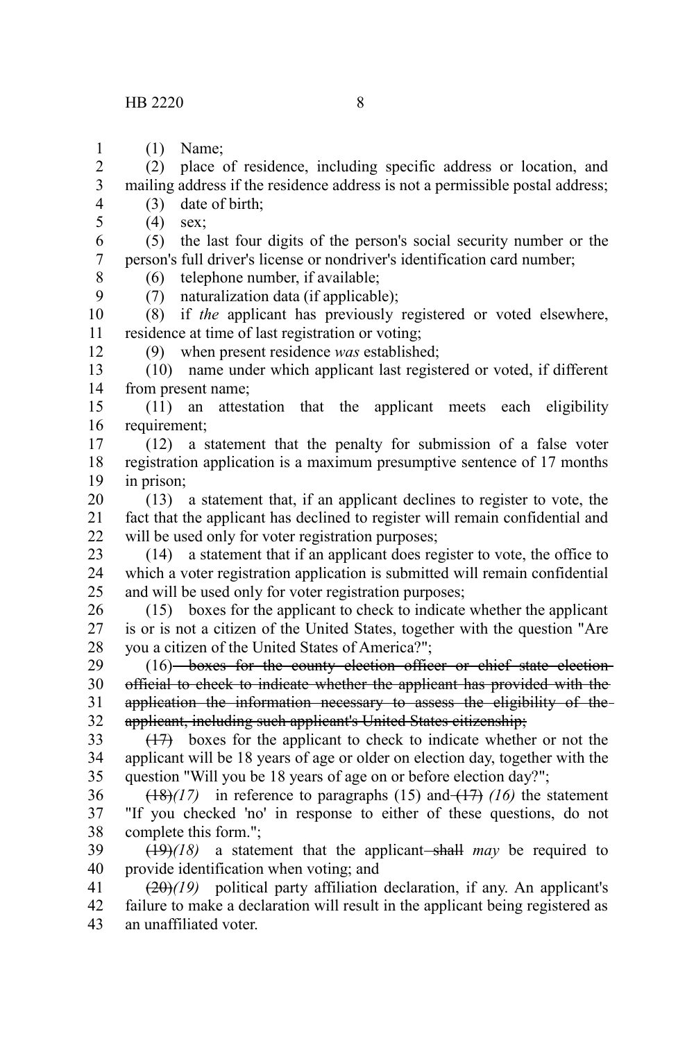(1) Name; 1

(2) place of residence, including specific address or location, and mailing address if the residence address is not a permissible postal address; 2 3

(3) date of birth;

(4) sex;

4 5

8 9

12

(5) the last four digits of the person's social security number or the person's full driver's license or nondriver's identification card number; 6 7

(6) telephone number, if available;

(7) naturalization data (if applicable);

(8) if *the* applicant has previously registered or voted elsewhere, residence at time of last registration or voting; 10 11

(9) when present residence *was* established;

(10) name under which applicant last registered or voted, if different from present name; 13 14

(11) an attestation that the applicant meets each eligibility requirement; 15 16

(12) a statement that the penalty for submission of a false voter registration application is a maximum presumptive sentence of 17 months in prison; 17 18 19

(13) a statement that, if an applicant declines to register to vote, the fact that the applicant has declined to register will remain confidential and will be used only for voter registration purposes; 20 21 22

(14) a statement that if an applicant does register to vote, the office to which a voter registration application is submitted will remain confidential and will be used only for voter registration purposes; 23 24 25

(15) boxes for the applicant to check to indicate whether the applicant is or is not a citizen of the United States, together with the question "Are you a citizen of the United States of America?"; 26 27 28

(16) boxes for the county election officer or chief state election official to check to indicate whether the applicant has provided with the application the information necessary to assess the eligibility of the applicant, including such applicant's United States citizenship; 29 30 31 32

(17) boxes for the applicant to check to indicate whether or not the applicant will be 18 years of age or older on election day, together with the question "Will you be 18 years of age on or before election day?"; 33 34 35

 $(18)(17)$  in reference to paragraphs (15) and  $(17)$  (16) the statement "If you checked 'no' in response to either of these questions, do not complete this form."; 36 37 38

 $(19)(18)$  a statement that the applicant-shall may be required to provide identification when voting; and 39 40

(20)*(19)* political party affiliation declaration, if any. An applicant's failure to make a declaration will result in the applicant being registered as an unaffiliated voter. 41 42 43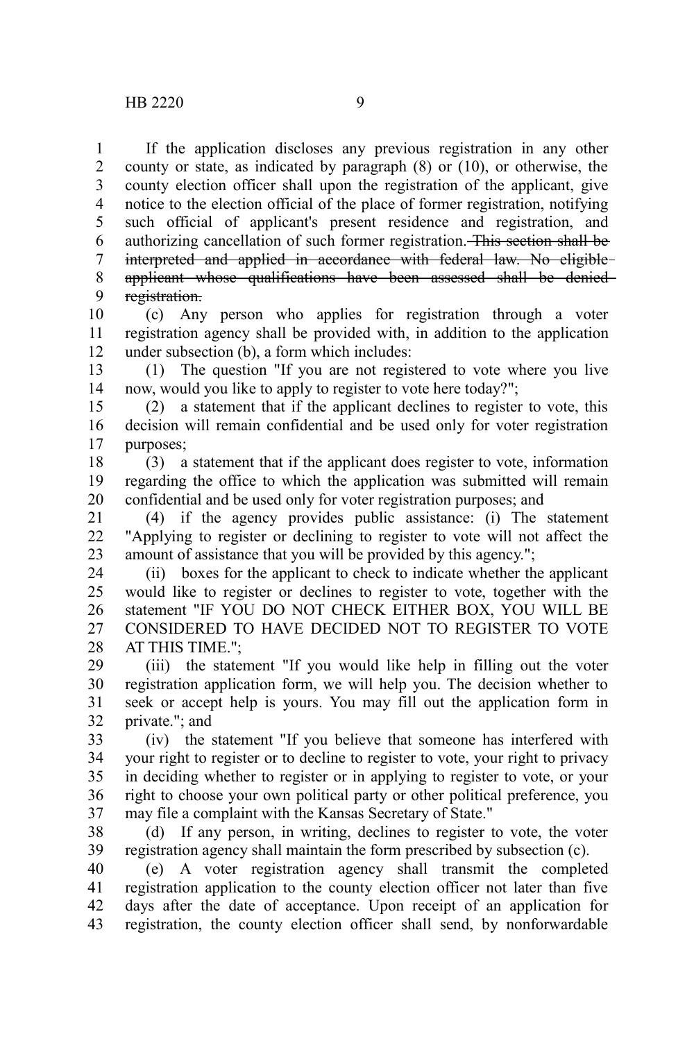If the application discloses any previous registration in any other county or state, as indicated by paragraph  $(8)$  or  $(10)$ , or otherwise, the county election officer shall upon the registration of the applicant, give notice to the election official of the place of former registration, notifying such official of applicant's present residence and registration, and authorizing cancellation of such former registration. This section shall be interpreted and applied in accordance with federal law. No eligible applicant whose qualifications have been assessed shall be denied registration. 1 2 3 4 5 6 7 8 9

(c) Any person who applies for registration through a voter registration agency shall be provided with, in addition to the application under subsection (b), a form which includes: 10 11 12

(1) The question "If you are not registered to vote where you live now, would you like to apply to register to vote here today?"; 13 14

(2) a statement that if the applicant declines to register to vote, this decision will remain confidential and be used only for voter registration purposes; 15 16 17

(3) a statement that if the applicant does register to vote, information regarding the office to which the application was submitted will remain confidential and be used only for voter registration purposes; and 18 19 20

(4) if the agency provides public assistance: (i) The statement "Applying to register or declining to register to vote will not affect the amount of assistance that you will be provided by this agency."; 21 22 23

(ii) boxes for the applicant to check to indicate whether the applicant would like to register or declines to register to vote, together with the statement "IF YOU DO NOT CHECK EITHER BOX, YOU WILL BE CONSIDERED TO HAVE DECIDED NOT TO REGISTER TO VOTE AT THIS TIME."; 24 25 26 27 28

(iii) the statement "If you would like help in filling out the voter registration application form, we will help you. The decision whether to seek or accept help is yours. You may fill out the application form in private."; and 29 30 31 32

(iv) the statement "If you believe that someone has interfered with your right to register or to decline to register to vote, your right to privacy in deciding whether to register or in applying to register to vote, or your right to choose your own political party or other political preference, you may file a complaint with the Kansas Secretary of State." 33 34 35 36 37

(d) If any person, in writing, declines to register to vote, the voter registration agency shall maintain the form prescribed by subsection (c). 38 39

(e) A voter registration agency shall transmit the completed registration application to the county election officer not later than five days after the date of acceptance. Upon receipt of an application for registration, the county election officer shall send, by nonforwardable 40 41 42 43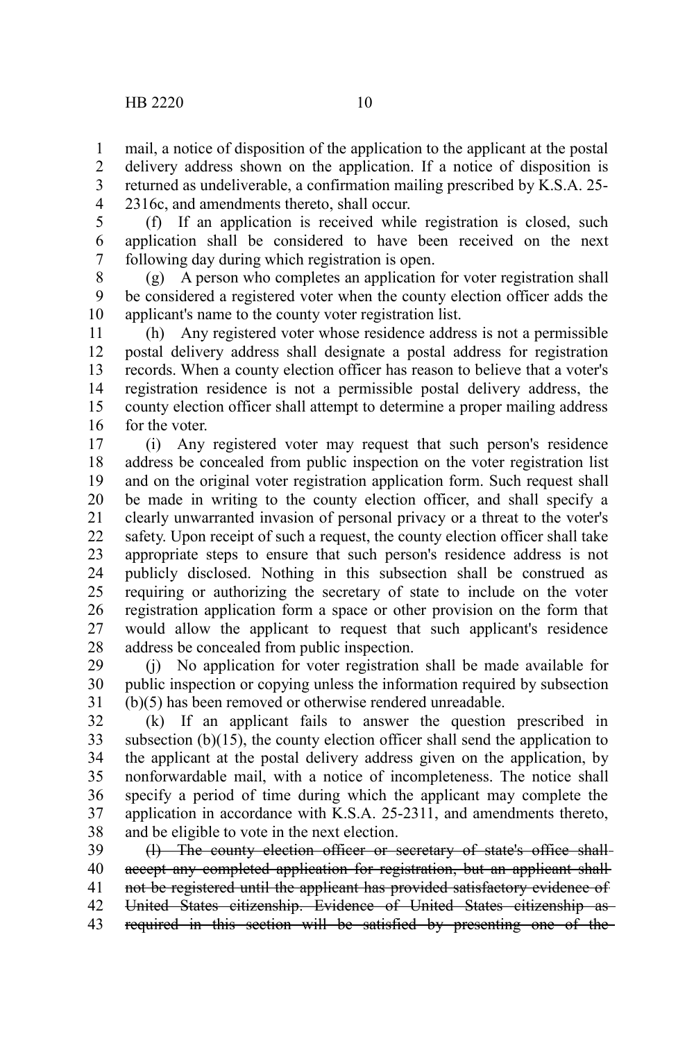mail, a notice of disposition of the application to the applicant at the postal delivery address shown on the application. If a notice of disposition is returned as undeliverable, a confirmation mailing prescribed by K.S.A. 25- 2316c, and amendments thereto, shall occur. 1 2 3 4

5

(f) If an application is received while registration is closed, such application shall be considered to have been received on the next following day during which registration is open. 6 7

(g) A person who completes an application for voter registration shall be considered a registered voter when the county election officer adds the applicant's name to the county voter registration list. 8 9 10

(h) Any registered voter whose residence address is not a permissible postal delivery address shall designate a postal address for registration records. When a county election officer has reason to believe that a voter's registration residence is not a permissible postal delivery address, the county election officer shall attempt to determine a proper mailing address for the voter. 11 12 13 14 15 16

(i) Any registered voter may request that such person's residence address be concealed from public inspection on the voter registration list and on the original voter registration application form. Such request shall be made in writing to the county election officer, and shall specify a clearly unwarranted invasion of personal privacy or a threat to the voter's safety. Upon receipt of such a request, the county election officer shall take appropriate steps to ensure that such person's residence address is not publicly disclosed. Nothing in this subsection shall be construed as requiring or authorizing the secretary of state to include on the voter registration application form a space or other provision on the form that would allow the applicant to request that such applicant's residence address be concealed from public inspection. 17 18 19 20 21 22 23 24 25 26 27 28

(j) No application for voter registration shall be made available for public inspection or copying unless the information required by subsection (b)(5) has been removed or otherwise rendered unreadable. 29 30 31

(k) If an applicant fails to answer the question prescribed in subsection  $(b)(15)$ , the county election officer shall send the application to the applicant at the postal delivery address given on the application, by nonforwardable mail, with a notice of incompleteness. The notice shall specify a period of time during which the applicant may complete the application in accordance with K.S.A. 25-2311, and amendments thereto, and be eligible to vote in the next election. 32 33 34 35 36 37 38

(l) The county election officer or secretary of state's office shall accept any completed application for registration, but an applicant shall not be registered until the applicant has provided satisfactory evidence of United States citizenship. Evidence of United States citizenship as required in this section will be satisfied by presenting one of the 39 40 41 42 43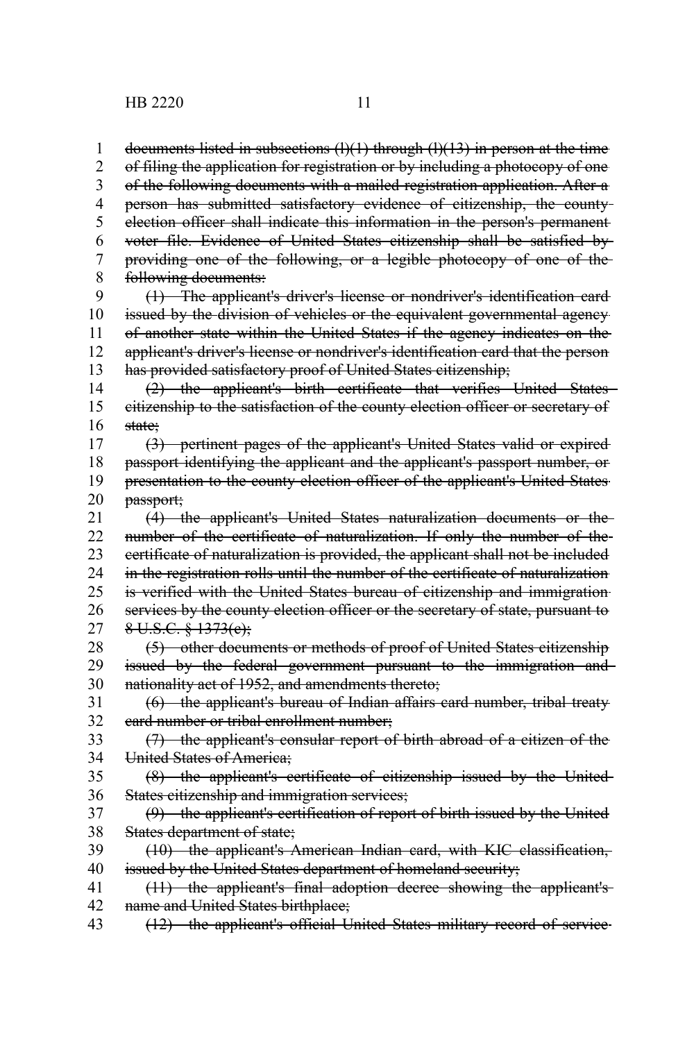documents listed in subsections  $(1)(1)$  through  $(1)(13)$  in person at the time of filing the application for registration or by including a photocopy of one of the following documents with a mailed registration application. After a person has submitted satisfactory evidence of citizenship, the county election officer shall indicate this information in the person's permanent voter file. Evidence of United States citizenship shall be satisfied by providing one of the following, or a legible photocopy of one of the following documents: (1) The applicant's driver's license or nondriver's identification card issued by the division of vehicles or the equivalent governmental agency of another state within the United States if the agency indicates on the applicant's driver's license or nondriver's identification card that the person has provided satisfactory proof of United States citizenship; (2) the applicant's birth certificate that verifies United States citizenship to the satisfaction of the county election officer or secretary of state; (3) pertinent pages of the applicant's United States valid or expired passport identifying the applicant and the applicant's passport number, or presentation to the county election officer of the applicant's United States passport; (4) the applicant's United States naturalization documents or the number of the certificate of naturalization. If only the number of the certificate of naturalization is provided, the applicant shall not be included in the registration rolls until the number of the certificate of naturalization is verified with the United States bureau of citizenship and immigration services by the county election officer or the secretary of state, pursuant to  $8 \text{ U.S.C. } 8 \text{ 1373(e)}$ ; (5) other documents or methods of proof of United States citizenship issued by the federal government pursuant to the immigration and nationality act of 1952, and amendments thereto; (6) the applicant's bureau of Indian affairs card number, tribal treaty card number or tribal enrollment number; (7) the applicant's consular report of birth abroad of a citizen of the United States of America; (8) the applicant's certificate of citizenship issued by the United States citizenship and immigration services; (9) the applicant's certification of report of birth issued by the United States department of state; (10) the applicant's American Indian card, with KIC classification, issued by the United States department of homeland security; (11) the applicant's final adoption decree showing the applicant's name and United States birthplace; (12) the applicant's official United States military record of service 1 2 3 4 5 6 7 8 9 10 11 12 13 14 15 16 17 18 19 20 21 22 23 24 25 26 27 28 29 30 31 32 33 34 35 36 37 38 39 40 41 42 43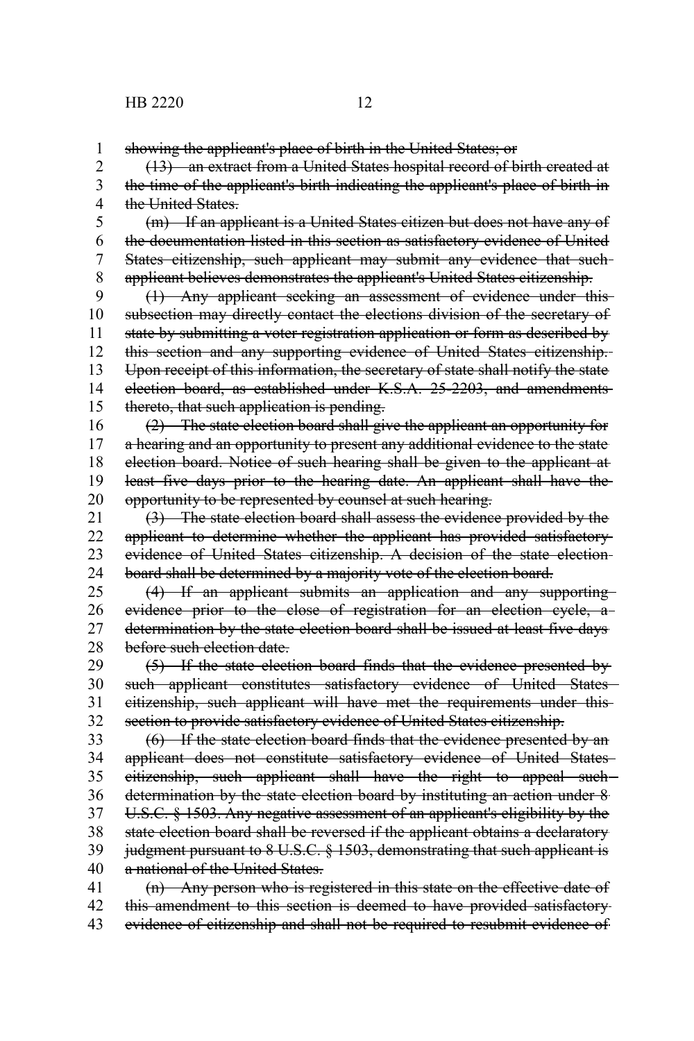showing the applicant's place of birth in the United States; or 1

(13) an extract from a United States hospital record of birth created at the time of the applicant's birth indicating the applicant's place of birth in the United States. 2 3 4

(m) If an applicant is a United States citizen but does not have any of the documentation listed in this section as satisfactory evidence of United States citizenship, such applicant may submit any evidence that suchapplicant believes demonstrates the applicant's United States citizenship. 5 6 7 8

(1) Any applicant seeking an assessment of evidence under this subsection may directly contact the elections division of the secretary of state by submitting a voter registration application or form as described by this section and any supporting evidence of United States citizenship. Upon receipt of this information, the secretary of state shall notify the state election board, as established under K.S.A. 25-2203, and amendments thereto, that such application is pending. 9 10 11 12 13 14 15

(2) The state election board shall give the applicant an opportunity for a hearing and an opportunity to present any additional evidence to the state election board. Notice of such hearing shall be given to the applicant at least five days prior to the hearing date. An applicant shall have the opportunity to be represented by counsel at such hearing. 16 17 18 19 20

(3) The state election board shall assess the evidence provided by the applicant to determine whether the applicant has provided satisfactory evidence of United States citizenship. A decision of the state election board shall be determined by a majority vote of the election board. 21 22 23 24

(4) If an applicant submits an application and any supporting evidence prior to the close of registration for an election cycle, adetermination by the state election board shall be issued at least five days before such election date. 25 26 27 28

(5) If the state election board finds that the evidence presented by such applicant constitutes satisfactory evidence of United States citizenship, such applicant will have met the requirements under this section to provide satisfactory evidence of United States citizenship. 29 30 31 32

(6) If the state election board finds that the evidence presented by an applicant does not constitute satisfactory evidence of United States eitizenship, such applicant shall have the right to appeal suchdetermination by the state election board by instituting an action under 8 U.S.C. § 1503. Any negative assessment of an applicant's eligibility by the state election board shall be reversed if the applicant obtains a declaratory judgment pursuant to 8 U.S.C. § 1503, demonstrating that such applicant is a national of the United States. 33 34 35 36 37 38 39 40

(n) Any person who is registered in this state on the effective date of this amendment to this section is deemed to have provided satisfactory evidence of citizenship and shall not be required to resubmit evidence of 41 42 43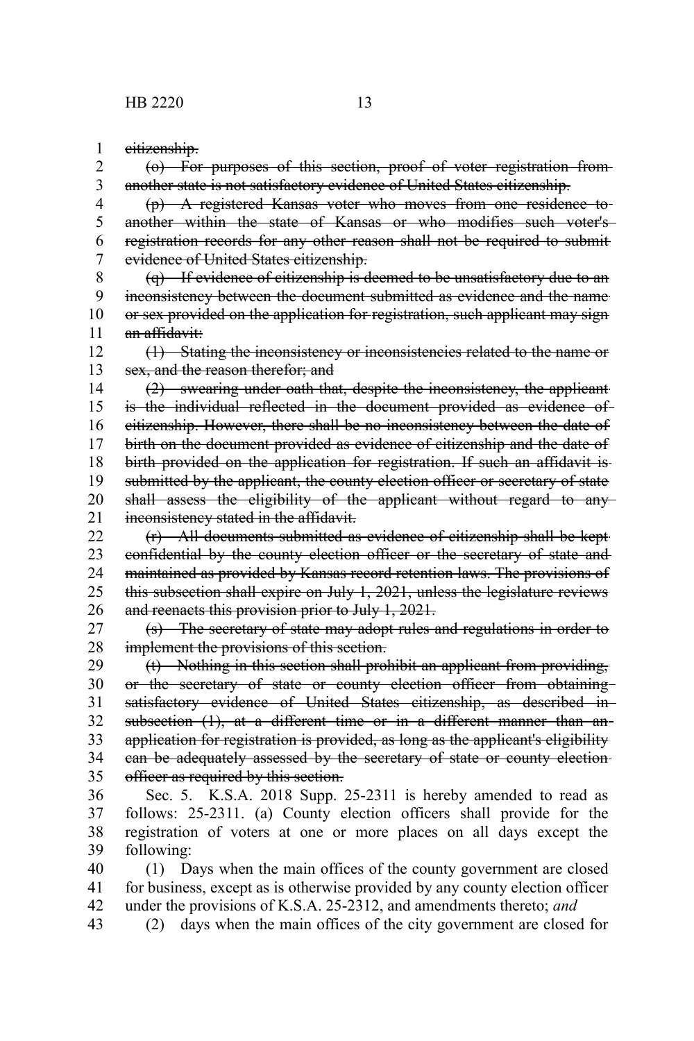citizenship. 1

(o) For purposes of this section, proof of voter registration from another state is not satisfactory evidence of United States citizenship. 2 3

(p) A registered Kansas voter who moves from one residence to another within the state of Kansas or who modifies such voter's registration records for any other reason shall not be required to submit evidence of United States citizenship. 4 5 6 7

(q) If evidence of citizenship is deemed to be unsatisfactory due to an inconsistency between the document submitted as evidence and the name or sex provided on the application for registration, such applicant may sign an affidavit: 8 9 10 11

(1) Stating the inconsistency or inconsistencies related to the name or sex, and the reason therefor; and 12 13

(2) swearing under oath that, despite the inconsistency, the applicant is the individual reflected in the document provided as evidence of citizenship. However, there shall be no inconsistency between the date of birth on the document provided as evidence of citizenship and the date of birth provided on the application for registration. If such an affidavit is submitted by the applicant, the county election officer or secretary of state shall assess the eligibility of the applicant without regard to anyinconsistency stated in the affidavit. 14 15 16 17 18 19 20 21

(r) All documents submitted as evidence of citizenship shall be kept confidential by the county election officer or the secretary of state and maintained as provided by Kansas record retention laws. The provisions of this subsection shall expire on July 1, 2021, unless the legislature reviews and reenacts this provision prior to July 1, 2021. 22 23 24 25 26

(s) The secretary of state may adopt rules and regulations in order to implement the provisions of this section. 27 28

(t) Nothing in this section shall prohibit an applicant from providing, or the secretary of state or county election officer from obtaining satisfactory evidence of United States citizenship, as described insubsection (1), at a different time or in a different manner than anapplication for registration is provided, as long as the applicant's eligibility can be adequately assessed by the secretary of state or county election officer as required by this section. 29 30 31 32 33 34 35

Sec. 5. K.S.A. 2018 Supp. 25-2311 is hereby amended to read as follows: 25-2311. (a) County election officers shall provide for the registration of voters at one or more places on all days except the following: 36 37 38 39

(1) Days when the main offices of the county government are closed for business, except as is otherwise provided by any county election officer under the provisions of K.S.A. 25-2312, and amendments thereto; *and* 40 41 42

(2) days when the main offices of the city government are closed for 43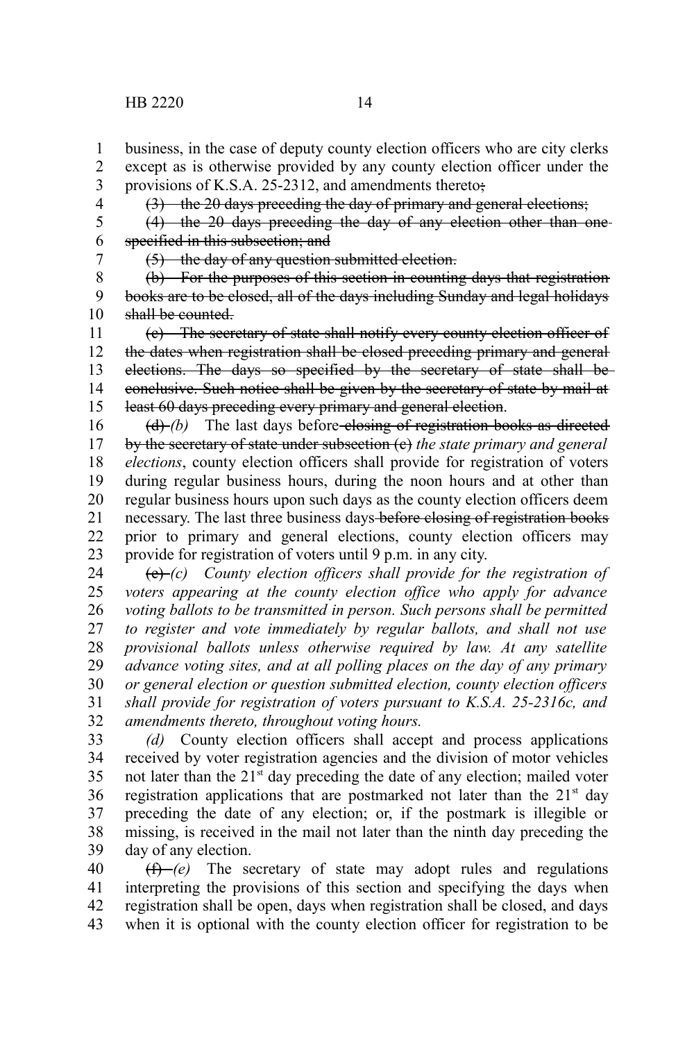except as is otherwise provided by any county election officer under the 2

provisions of K.S.A. 25-2312, and amendments thereto; 3 4

(3) the 20 days preceding the day of primary and general elections;

(4) the 20 days preceding the day of any election other than one specified in this subsection; and 5 6

7

1

(5) the day of any question submitted election.

(b) For the purposes of this section in counting days that registration books are to be closed, all of the days including Sunday and legal holidays shall be counted. 8 9 10

(c) The secretary of state shall notify every county election officer of the dates when registration shall be closed preceding primary and general elections. The days so specified by the secretary of state shall be conclusive. Such notice shall be given by the secretary of state by mail at least 60 days preceding every primary and general election. 11 12 13 14 15

(d) *(b)* The last days before-elosing of registration books as directed by the secretary of state under subsection (c) *the state primary and general elections*, county election officers shall provide for registration of voters during regular business hours, during the noon hours and at other than regular business hours upon such days as the county election officers deem necessary. The last three business days before closing of registration books prior to primary and general elections, county election officers may provide for registration of voters until 9 p.m. in any city. 16 17 18 19 20 21 22 23

(e) *(c) County election officers shall provide for the registration of voters appearing at the county election office who apply for advance voting ballots to be transmitted in person. Such persons shall be permitted to register and vote immediately by regular ballots, and shall not use provisional ballots unless otherwise required by law. At any satellite advance voting sites, and at all polling places on the day of any primary or general election or question submitted election, county election officers shall provide for registration of voters pursuant to K.S.A. 25-2316c, and amendments thereto, throughout voting hours.* 24 25 26 27 28 29 30 31 32

*(d)* County election officers shall accept and process applications received by voter registration agencies and the division of motor vehicles not later than the  $21<sup>st</sup>$  day preceding the date of any election; mailed voter registration applications that are postmarked not later than the  $21<sup>st</sup>$  day preceding the date of any election; or, if the postmark is illegible or missing, is received in the mail not later than the ninth day preceding the day of any election. 33 34 35 36 37 38 39

(f) *(e)* The secretary of state may adopt rules and regulations interpreting the provisions of this section and specifying the days when registration shall be open, days when registration shall be closed, and days when it is optional with the county election officer for registration to be 40 41 42 43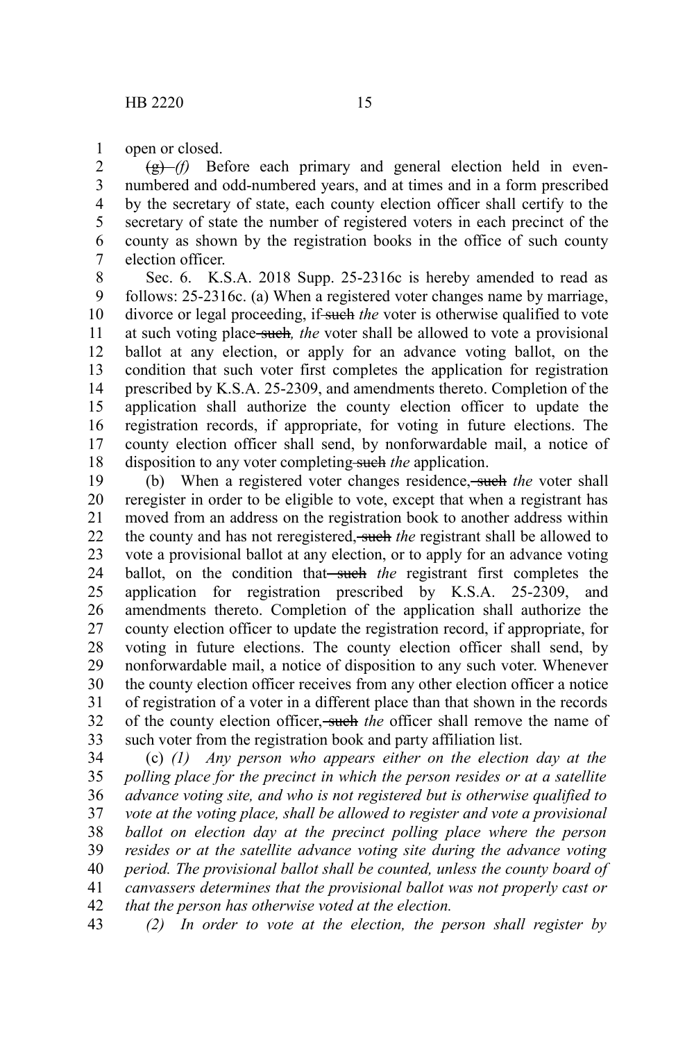open or closed. 1

(g) *(f)* Before each primary and general election held in evennumbered and odd-numbered years, and at times and in a form prescribed by the secretary of state, each county election officer shall certify to the secretary of state the number of registered voters in each precinct of the county as shown by the registration books in the office of such county election officer. 2 3 4 5 6 7

Sec. 6. K.S.A. 2018 Supp. 25-2316c is hereby amended to read as follows: 25-2316c. (a) When a registered voter changes name by marriage, divorce or legal proceeding, if such the voter is otherwise qualified to vote at such voting place such*, the* voter shall be allowed to vote a provisional ballot at any election, or apply for an advance voting ballot, on the condition that such voter first completes the application for registration prescribed by K.S.A. 25-2309, and amendments thereto. Completion of the application shall authorize the county election officer to update the registration records, if appropriate, for voting in future elections. The county election officer shall send, by nonforwardable mail, a notice of disposition to any voter completing such *the* application. 8 9 10 11 12 13 14 15 16 17 18

(b) When a registered voter changes residence, such *the* voter shall reregister in order to be eligible to vote, except that when a registrant has moved from an address on the registration book to another address within the county and has not reregistered, such *the* registrant shall be allowed to vote a provisional ballot at any election, or to apply for an advance voting ballot, on the condition that<del> such</del> the registrant first completes the application for registration prescribed by K.S.A. 25-2309, and amendments thereto. Completion of the application shall authorize the county election officer to update the registration record, if appropriate, for voting in future elections. The county election officer shall send, by nonforwardable mail, a notice of disposition to any such voter. Whenever the county election officer receives from any other election officer a notice of registration of a voter in a different place than that shown in the records of the county election officer, such *the* officer shall remove the name of such voter from the registration book and party affiliation list. 19 20 21 22 23 24 25 26 27 28 29 30 31 32 33

(c) *(1) Any person who appears either on the election day at the polling place for the precinct in which the person resides or at a satellite advance voting site, and who is not registered but is otherwise qualified to vote at the voting place, shall be allowed to register and vote a provisional ballot on election day at the precinct polling place where the person resides or at the satellite advance voting site during the advance voting period. The provisional ballot shall be counted, unless the county board of canvassers determines that the provisional ballot was not properly cast or that the person has otherwise voted at the election.* 34 35 36 37 38 39 40 41 42

*(2) In order to vote at the election, the person shall register by* 43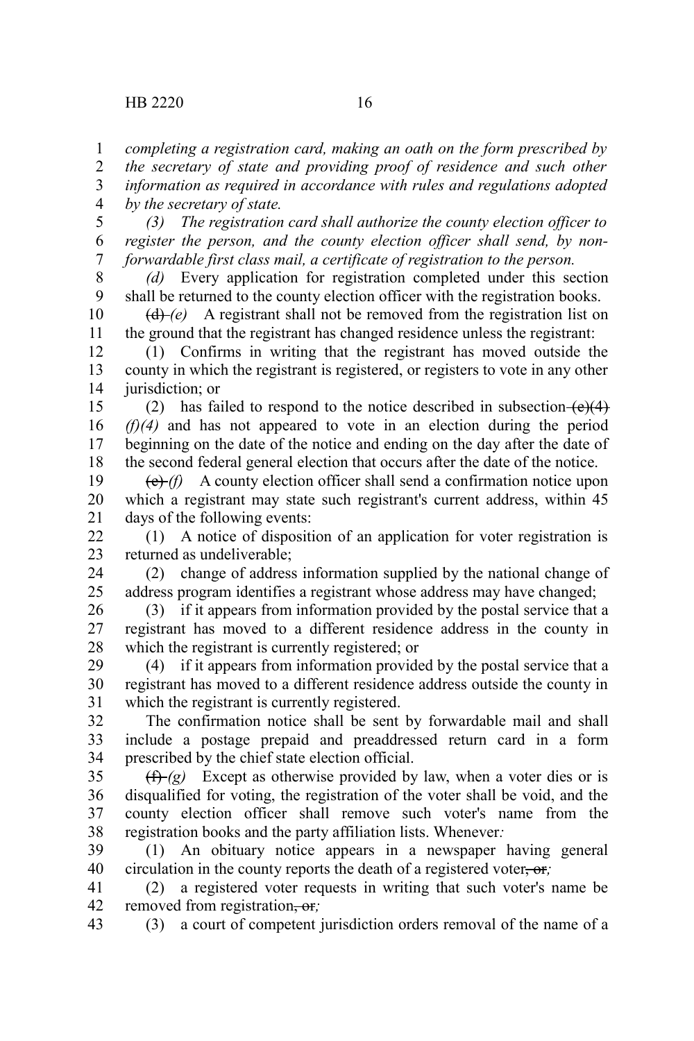*completing a registration card, making an oath on the form prescribed by the secretary of state and providing proof of residence and such other information as required in accordance with rules and regulations adopted by the secretary of state.* 1 2 3 4

*(3) The registration card shall authorize the county election officer to register the person, and the county election officer shall send, by nonforwardable first class mail, a certificate of registration to the person.* 5 6 7

*(d)* Every application for registration completed under this section shall be returned to the county election officer with the registration books. 8 9

 $(d)$  *(d)*  $(e)$  A registrant shall not be removed from the registration list on the ground that the registrant has changed residence unless the registrant: 10 11

(1) Confirms in writing that the registrant has moved outside the county in which the registrant is registered, or registers to vote in any other jurisdiction; or 12 13 14

(2) has failed to respond to the notice described in subsection  $(e)(4)$ *(f)(4)* and has not appeared to vote in an election during the period beginning on the date of the notice and ending on the day after the date of the second federal general election that occurs after the date of the notice. 15 16 17 18

(e) *(f)* A county election officer shall send a confirmation notice upon which a registrant may state such registrant's current address, within 45 days of the following events: 19 20 21

(1) A notice of disposition of an application for voter registration is returned as undeliverable; 22 23

(2) change of address information supplied by the national change of address program identifies a registrant whose address may have changed; 24 25

(3) if it appears from information provided by the postal service that a registrant has moved to a different residence address in the county in which the registrant is currently registered; or 26 27 28

(4) if it appears from information provided by the postal service that a registrant has moved to a different residence address outside the county in which the registrant is currently registered. 29 30 31

The confirmation notice shall be sent by forwardable mail and shall include a postage prepaid and preaddressed return card in a form prescribed by the chief state election official. 32 33 34

 $(f)$  *(f)* Except as otherwise provided by law, when a voter dies or is disqualified for voting, the registration of the voter shall be void, and the county election officer shall remove such voter's name from the registration books and the party affiliation lists. Whenever*:* 35 36 37 38

(1) An obituary notice appears in a newspaper having general circulation in the county reports the death of a registered voter, or, 39 40

(2) a registered voter requests in writing that such voter's name be removed from registration, or*;* 41 42

(3) a court of competent jurisdiction orders removal of the name of a 43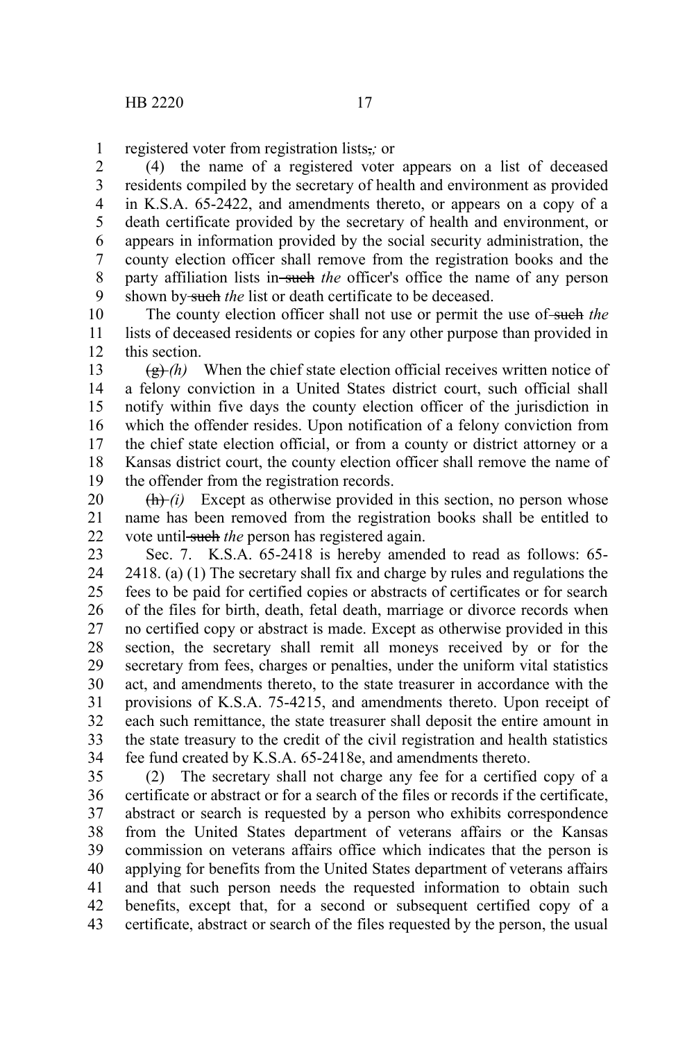registered voter from registration lists,*;* or 1

(4) the name of a registered voter appears on a list of deceased residents compiled by the secretary of health and environment as provided in K.S.A. 65-2422, and amendments thereto, or appears on a copy of a death certificate provided by the secretary of health and environment, or appears in information provided by the social security administration, the county election officer shall remove from the registration books and the party affiliation lists in-such the officer's office the name of any person shown by-such *the* list or death certificate to be deceased. 2 3 4 5 6 7 8 9

The county election officer shall not use or permit the use of such *the* lists of deceased residents or copies for any other purpose than provided in this section. 10 11 12

 $\left(\frac{g}{g}\right)$  (h) When the chief state election official receives written notice of a felony conviction in a United States district court, such official shall notify within five days the county election officer of the jurisdiction in which the offender resides. Upon notification of a felony conviction from the chief state election official, or from a county or district attorney or a Kansas district court, the county election officer shall remove the name of the offender from the registration records. 13 14 15 16 17 18 19

 $(h)$  *(h)* Except as otherwise provided in this section, no person whose name has been removed from the registration books shall be entitled to vote until-such *the* person has registered again. 20 21 22

Sec. 7. K.S.A. 65-2418 is hereby amended to read as follows: 65- 2418. (a) (1) The secretary shall fix and charge by rules and regulations the fees to be paid for certified copies or abstracts of certificates or for search of the files for birth, death, fetal death, marriage or divorce records when no certified copy or abstract is made. Except as otherwise provided in this section, the secretary shall remit all moneys received by or for the secretary from fees, charges or penalties, under the uniform vital statistics act, and amendments thereto, to the state treasurer in accordance with the provisions of K.S.A. 75-4215, and amendments thereto. Upon receipt of each such remittance, the state treasurer shall deposit the entire amount in the state treasury to the credit of the civil registration and health statistics fee fund created by K.S.A. 65-2418e, and amendments thereto. 23 24 25 26 27 28 29 30 31 32 33 34

(2) The secretary shall not charge any fee for a certified copy of a certificate or abstract or for a search of the files or records if the certificate, abstract or search is requested by a person who exhibits correspondence from the United States department of veterans affairs or the Kansas commission on veterans affairs office which indicates that the person is applying for benefits from the United States department of veterans affairs and that such person needs the requested information to obtain such benefits, except that, for a second or subsequent certified copy of a certificate, abstract or search of the files requested by the person, the usual 35 36 37 38 39 40 41 42 43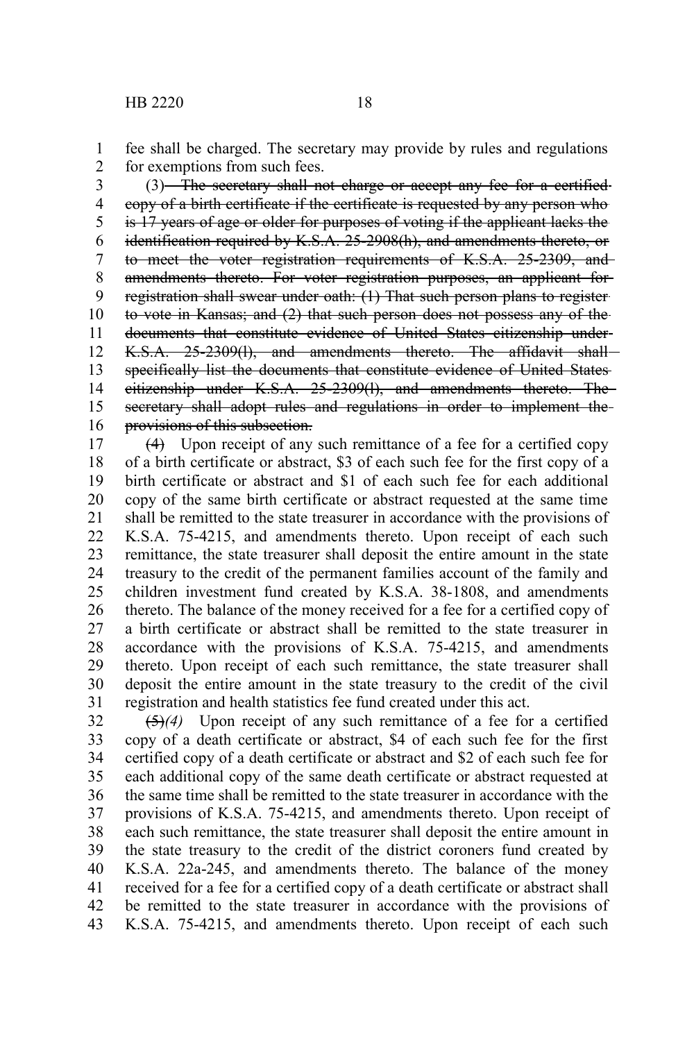fee shall be charged. The secretary may provide by rules and regulations for exemptions from such fees. 1 2

(3) The secretary shall not charge or accept any fee for a certifiedcopy of a birth certificate if the certificate is requested by any person who is 17 years of age or older for purposes of voting if the applicant lacks the identification required by K.S.A. 25-2908(h), and amendments thereto, or to meet the voter registration requirements of K.S.A. 25-2309, and amendments thereto. For voter registration purposes, an applicant for registration shall swear under oath: (1) That such person plans to register to vote in Kansas; and (2) that such person does not possess any of the documents that constitute evidence of United States citizenship under K.S.A. 25-2309(1), and amendments thereto. The affidavit shall specifically list the documents that constitute evidence of United States citizenship under K.S.A. 25-2309(l), and amendments thereto. The secretary shall adopt rules and regulations in order to implement theprovisions of this subsection. 3 4 5 6 7 8 9 10 11 12 13 14 15 16

(4) Upon receipt of any such remittance of a fee for a certified copy of a birth certificate or abstract, \$3 of each such fee for the first copy of a birth certificate or abstract and \$1 of each such fee for each additional copy of the same birth certificate or abstract requested at the same time shall be remitted to the state treasurer in accordance with the provisions of K.S.A. 75-4215, and amendments thereto. Upon receipt of each such remittance, the state treasurer shall deposit the entire amount in the state treasury to the credit of the permanent families account of the family and children investment fund created by K.S.A. 38-1808, and amendments thereto. The balance of the money received for a fee for a certified copy of a birth certificate or abstract shall be remitted to the state treasurer in accordance with the provisions of K.S.A. 75-4215, and amendments thereto. Upon receipt of each such remittance, the state treasurer shall deposit the entire amount in the state treasury to the credit of the civil registration and health statistics fee fund created under this act. 17 18 19 20 21 22 23 24 25 26 27 28 29 30 31

(5)*(4)* Upon receipt of any such remittance of a fee for a certified copy of a death certificate or abstract, \$4 of each such fee for the first certified copy of a death certificate or abstract and \$2 of each such fee for each additional copy of the same death certificate or abstract requested at the same time shall be remitted to the state treasurer in accordance with the provisions of K.S.A. 75-4215, and amendments thereto. Upon receipt of each such remittance, the state treasurer shall deposit the entire amount in the state treasury to the credit of the district coroners fund created by K.S.A. 22a-245, and amendments thereto. The balance of the money received for a fee for a certified copy of a death certificate or abstract shall be remitted to the state treasurer in accordance with the provisions of K.S.A. 75-4215, and amendments thereto. Upon receipt of each such 32 33 34 35 36 37 38 39 40 41 42 43